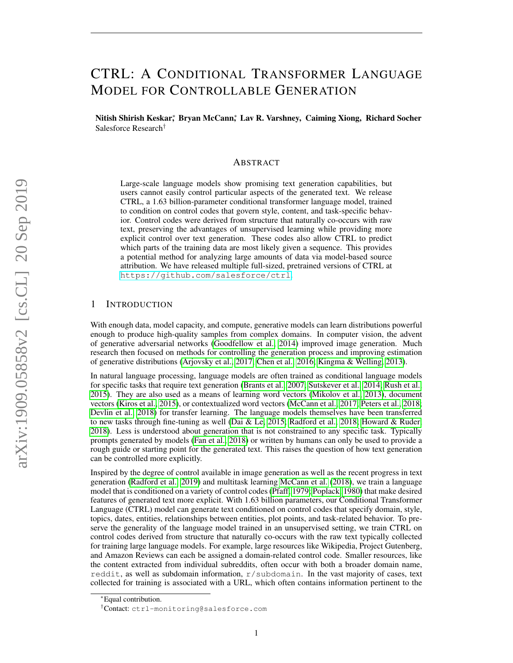# CTRL: A CONDITIONAL TRANSFORMER LANGUAGE MODEL FOR CONTROLLABLE GENERATION

Nitish Shirish Keskar, <sup>\*</sup> Bryan McCann,\* Lav R. Varshney, Caiming Xiong, Richard Socher Salesforce Research†

#### ABSTRACT

Large-scale language models show promising text generation capabilities, but users cannot easily control particular aspects of the generated text. We release CTRL, a 1.63 billion-parameter conditional transformer language model, trained to condition on control codes that govern style, content, and task-specific behavior. Control codes were derived from structure that naturally co-occurs with raw text, preserving the advantages of unsupervised learning while providing more explicit control over text generation. These codes also allow CTRL to predict which parts of the training data are most likely given a sequence. This provides a potential method for analyzing large amounts of data via model-based source attribution. We have released multiple full-sized, pretrained versions of CTRL at <https://github.com/salesforce/ctrl>.

## 1 INTRODUCTION

With enough data, model capacity, and compute, generative models can learn distributions powerful enough to produce high-quality samples from complex domains. In computer vision, the advent of generative adversarial networks [\(Goodfellow et al., 2014\)](#page-13-0) improved image generation. Much research then focused on methods for controlling the generation process and improving estimation of generative distributions [\(Arjovsky et al., 2017;](#page-12-0) [Chen et al., 2016;](#page-12-1) [Kingma & Welling, 2013\)](#page-14-0).

In natural language processing, language models are often trained as conditional language models for specific tasks that require text generation [\(Brants et al., 2007;](#page-12-2) [Sutskever et al., 2014;](#page-16-0) [Rush et al.,](#page-15-0) [2015\)](#page-15-0). They are also used as a means of learning word vectors [\(Mikolov et al., 2013\)](#page-15-1), document vectors [\(Kiros et al., 2015\)](#page-14-1), or contextualized word vectors [\(McCann et al., 2017;](#page-14-2) [Peters et al., 2018;](#page-15-2) [Devlin et al., 2018\)](#page-13-1) for transfer learning. The language models themselves have been transferred to new tasks through fine-tuning as well [\(Dai & Le, 2015;](#page-13-2) [Radford et al., 2018;](#page-15-3) [Howard & Ruder,](#page-13-3) [2018\)](#page-13-3). Less is understood about generation that is not constrained to any specific task. Typically prompts generated by models [\(Fan et al., 2018\)](#page-13-4) or written by humans can only be used to provide a rough guide or starting point for the generated text. This raises the question of how text generation can be controlled more explicitly.

Inspired by the degree of control available in image generation as well as the recent progress in text generation [\(Radford et al., 2019\)](#page-15-4) and multitask learning [McCann et al.](#page-14-3) [\(2018\)](#page-14-3), we train a language model that is conditioned on a variety of control codes [\(Pfaff, 1979;](#page-15-5) [Poplack, 1980\)](#page-15-6) that make desired features of generated text more explicit. With 1.63 billion parameters, our Conditional Transformer Language (CTRL) model can generate text conditioned on control codes that specify domain, style, topics, dates, entities, relationships between entities, plot points, and task-related behavior. To preserve the generality of the language model trained in an unsupervised setting, we train CTRL on control codes derived from structure that naturally co-occurs with the raw text typically collected for training large language models. For example, large resources like Wikipedia, Project Gutenberg, and Amazon Reviews can each be assigned a domain-related control code. Smaller resources, like the content extracted from individual subreddits, often occur with both a broader domain name, reddit, as well as subdomain information,  $r$ /subdomain. In the vast majority of cases, text collected for training is associated with a URL, which often contains information pertinent to the

<sup>∗</sup>Equal contribution.

<sup>†</sup>Contact: ctrl-monitoring@salesforce.com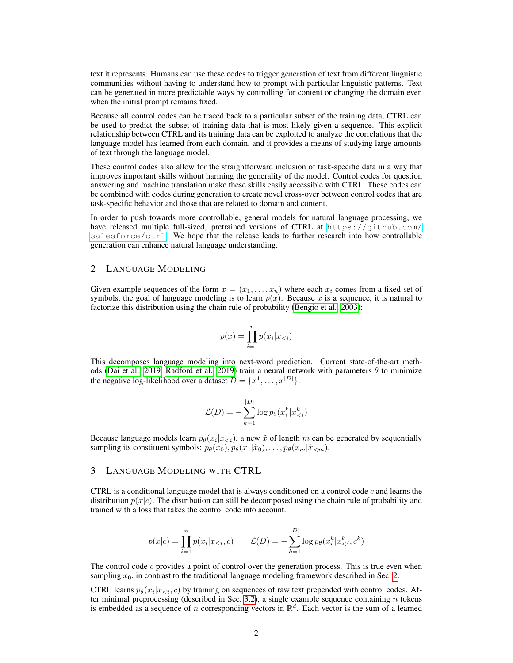text it represents. Humans can use these codes to trigger generation of text from different linguistic communities without having to understand how to prompt with particular linguistic patterns. Text can be generated in more predictable ways by controlling for content or changing the domain even when the initial prompt remains fixed.

Because all control codes can be traced back to a particular subset of the training data, CTRL can be used to predict the subset of training data that is most likely given a sequence. This explicit relationship between CTRL and its training data can be exploited to analyze the correlations that the language model has learned from each domain, and it provides a means of studying large amounts of text through the language model.

These control codes also allow for the straightforward inclusion of task-specific data in a way that improves important skills without harming the generality of the model. Control codes for question answering and machine translation make these skills easily accessible with CTRL. These codes can be combined with codes during generation to create novel cross-over between control codes that are task-specific behavior and those that are related to domain and content.

In order to push towards more controllable, general models for natural language processing, we have released multiple full-sized, pretrained versions of CTRL at [https://github.com/](https://github.com/salesforce/ctrl) [salesforce/ctrl](https://github.com/salesforce/ctrl). We hope that the release leads to further research into how controllable generation can enhance natural language understanding.

## <span id="page-1-0"></span>2 LANGUAGE MODELING

Given example sequences of the form  $x = (x_1, \ldots, x_n)$  where each  $x_i$  comes from a fixed set of symbols, the goal of language modeling is to learn  $p(x)$ . Because x is a sequence, it is natural to factorize this distribution using the chain rule of probability [\(Bengio et al., 2003\)](#page-12-3):

$$
p(x) = \prod_{i=1}^{n} p(x_i | x_{< i})
$$

This decomposes language modeling into next-word prediction. Current state-of-the-art meth-ods [\(Dai et al., 2019;](#page-13-5) [Radford et al., 2019\)](#page-15-4) train a neural network with parameters  $\theta$  to minimize the negative log-likelihood over a dataset  $D = \{x^1, \ldots, x^{|D|}\}$ :

$$
\mathcal{L}(D) = -\sum_{k=1}^{|D|} \log p_{\theta}(x_i^k | x_{\leq i}^k)
$$

Because language models learn  $p_{\theta}(x_i | x_{\leq i})$ , a new  $\tilde{x}$  of length m can be generated by sequentially sampling its constituent symbols:  $p_{\theta}(x_0), p_{\theta}(x_1|\tilde{x}_0), \ldots, p_{\theta}(x_m|\tilde{x}_{\leq m}).$ 

#### 3 LANGUAGE MODELING WITH CTRL

CTRL is a conditional language model that is always conditioned on a control code  $c$  and learns the distribution  $p(x|c)$ . The distribution can still be decomposed using the chain rule of probability and trained with a loss that takes the control code into account.

$$
p(x|c) = \prod_{i=1}^{n} p(x_i|x_{< i}, c) \qquad \mathcal{L}(D) = -\sum_{k=1}^{|D|} \log p_{\theta}(x_i^k | x_{< i}^k, c^k)
$$

The control code  $c$  provides a point of control over the generation process. This is true even when sampling  $x_0$ , in contrast to the traditional language modeling framework described in Sec. [2.](#page-1-0)

CTRL learns  $p_{\theta}(x_i|x_{< i}, c)$  by training on sequences of raw text prepended with control codes. Af-ter minimal preprocessing (described in Sec. [3.2\)](#page-2-0), a single example sequence containing  $n$  tokens is embedded as a sequence of n corresponding vectors in  $\mathbb{R}^d$ . Each vector is the sum of a learned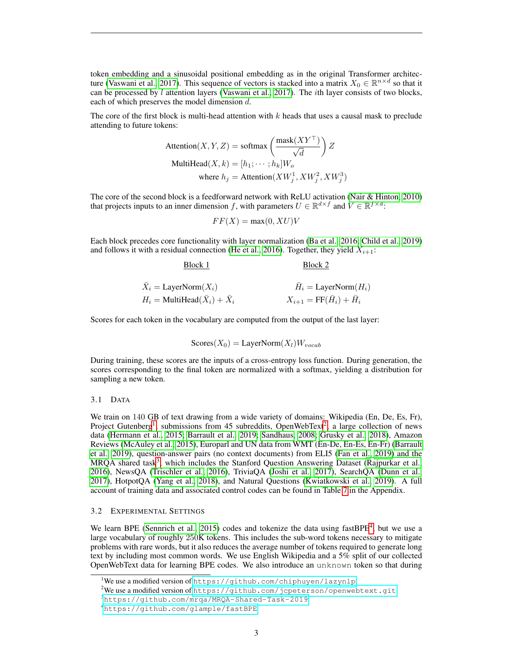token embedding and a sinusoidal positional embedding as in the original Transformer architec-ture [\(Vaswani et al., 2017\)](#page-16-1). This sequence of vectors is stacked into a matrix  $X_0 \in \mathbb{R}^{n \times d}$  so that it can be processed by  $l$  attention layers [\(Vaswani et al., 2017\)](#page-16-1). The *i*th layer consists of two blocks, each of which preserves the model dimension d.

The core of the first block is multi-head attention with  $k$  heads that uses a causal mask to preclude attending to future tokens:

$$
\begin{aligned} \text{Attention}(X, Y, Z) &= \text{softmax}\left(\frac{\text{mask}(XY^{\top})}{\sqrt{d}}\right)Z\\ \text{MultiHead}(X, k) &= [h_1; \cdots; h_k]W_o\\ \text{where } h_j &= \text{Attention}(XW_j^1, XW_j^2, XW_j^3) \end{aligned}
$$

The core of the second block is a feedforward network with ReLU activation [\(Nair & Hinton, 2010\)](#page-15-7) that projects inputs to an inner dimension f, with parameters  $U \in \mathbb{R}^{d \times f}$  and  $V \in \mathbb{R}^{f \times d}$ :

$$
FF(X) = \max(0, XU)V
$$

Each block precedes core functionality with layer normalization [\(Ba et al., 2016;](#page-12-4) [Child et al., 2019\)](#page-12-5) and follows it with a residual connection [\(He et al., 2016\)](#page-13-6). Together, they yield  $X_{i+1}$ :

Block 1 Block 2

| $\overline{X}_i = \text{LayerNorm}(X_i)$ | $H_i = \text{LayerNorm}(H_i)$ |
|------------------------------------------|-------------------------------|
| $H_i = \text{MultiHead}(X_i) + X_i$      | $X_{i+1} = FF(H_i) + H_i$     |

Scores for each token in the vocabulary are computed from the output of the last layer:

$$
Scores(X_0) = LayerNorm(X_l)W_{vocab}
$$

During training, these scores are the inputs of a cross-entropy loss function. During generation, the scores corresponding to the final token are normalized with a softmax, yielding a distribution for sampling a new token.

#### <span id="page-2-5"></span>3.1 DATA

We train on 140 GB of text drawing from a wide variety of domains: Wikipedia (En, De, Es, Fr), Project Gutenberg<sup>[1](#page-2-1)</sup>, submissions from 45 subreddits, OpenWebText<sup>[2](#page-2-2)</sup>, a large collection of news data [\(Hermann et al., 2015;](#page-13-7) [Barrault et al., 2019;](#page-12-6) [Sandhaus, 2008;](#page-15-8) [Grusky et al., 2018\)](#page-13-8), Amazon Reviews [\(McAuley et al., 2015\)](#page-14-4), Europarl and UN data from WMT (En-De, En-Es, En-Fr) [\(Barrault](#page-12-6) [et al., 2019\)](#page-12-6), question-answer pairs (no context documents) from ELI5 [\(Fan et al., 2019\)](#page-13-9) and the MRQA shared task<sup>[3](#page-2-3)</sup>, which includes the Stanford Question Answering Dataset [\(Rajpurkar et al.,](#page-15-9) [2016\)](#page-15-9), NewsQA [\(Trischler et al., 2016\)](#page-16-2), TriviaQA [\(Joshi et al., 2017\)](#page-14-5), SearchQA [\(Dunn et al.,](#page-13-10) [2017\)](#page-13-10), HotpotQA [\(Yang et al., 2018\)](#page-16-3), and Natural Questions [\(Kwiatkowski et al., 2019\)](#page-14-6). A full account of training data and associated control codes can be found in Table [7](#page-17-0) in the Appendix.

#### <span id="page-2-0"></span>3.2 EXPERIMENTAL SETTINGS

We learn BPE [\(Sennrich et al., 2015\)](#page-16-4) codes and tokenize the data using fastBPE<sup>[4](#page-2-4)</sup>, but we use a large vocabulary of roughly 250K tokens. This includes the sub-word tokens necessary to mitigate problems with rare words, but it also reduces the average number of tokens required to generate long text by including most common words. We use English Wikipedia and a 5% split of our collected OpenWebText data for learning BPE codes. We also introduce an unknown token so that during

<span id="page-2-1"></span><sup>&</sup>lt;sup>1</sup>We use a modified version of <https://github.com/chiphuyen/lazynlp>

<span id="page-2-2"></span> $2$ We use a modified version of <https://github.com/jcpeterson/openwebtext.git>

<span id="page-2-3"></span><sup>3</sup><https://github.com/mrqa/MRQA-Shared-Task-2019>

<span id="page-2-4"></span><sup>4</sup><https://github.com/glample/fastBPE>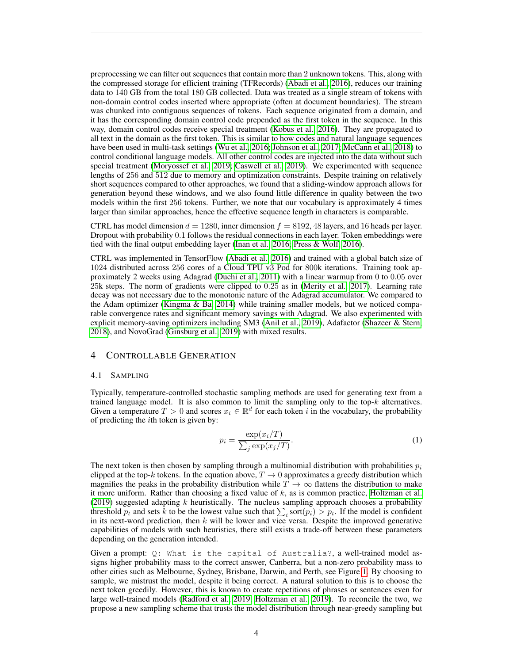preprocessing we can filter out sequences that contain more than 2 unknown tokens. This, along with the compressed storage for efficient training (TFRecords) [\(Abadi et al., 2016\)](#page-12-7), reduces our training data to 140 GB from the total 180 GB collected. Data was treated as a single stream of tokens with non-domain control codes inserted where appropriate (often at document boundaries). The stream was chunked into contiguous sequences of tokens. Each sequence originated from a domain, and it has the corresponding domain control code prepended as the first token in the sequence. In this way, domain control codes receive special treatment [\(Kobus et al., 2016\)](#page-14-7). They are propagated to all text in the domain as the first token. This is similar to how codes and natural language sequences have been used in multi-task settings [\(Wu et al., 2016;](#page-16-5) [Johnson et al., 2017;](#page-13-11) [McCann et al., 2018\)](#page-14-3) to control conditional language models. All other control codes are injected into the data without such special treatment [\(Moryossef et al., 2019;](#page-15-10) [Caswell et al., 2019\)](#page-12-8). We experimented with sequence lengths of 256 and 512 due to memory and optimization constraints. Despite training on relatively short sequences compared to other approaches, we found that a sliding-window approach allows for generation beyond these windows, and we also found little difference in quality between the two models within the first 256 tokens. Further, we note that our vocabulary is approximately 4 times larger than similar approaches, hence the effective sequence length in characters is comparable.

CTRL has model dimension  $d = 1280$ , inner dimension  $f = 8192$ , 48 layers, and 16 heads per layer. Dropout with probability 0.1 follows the residual connections in each layer. Token embeddings were tied with the final output embedding layer [\(Inan et al., 2016;](#page-13-12) [Press & Wolf, 2016\)](#page-15-11).

CTRL was implemented in TensorFlow [\(Abadi et al., 2016\)](#page-12-7) and trained with a global batch size of 1024 distributed across 256 cores of a Cloud TPU v3 Pod for 800k iterations. Training took approximately 2 weeks using Adagrad [\(Duchi et al., 2011\)](#page-13-13) with a linear warmup from 0 to 0.05 over 25k steps. The norm of gradients were clipped to 0.25 as in [\(Merity et al., 2017\)](#page-15-12). Learning rate decay was not necessary due to the monotonic nature of the Adagrad accumulator. We compared to the Adam optimizer [\(Kingma & Ba, 2014\)](#page-14-8) while training smaller models, but we noticed comparable convergence rates and significant memory savings with Adagrad. We also experimented with explicit memory-saving optimizers including SM3 [\(Anil et al., 2019\)](#page-12-9), Adafactor [\(Shazeer & Stern,](#page-16-6) [2018\)](#page-16-6), and NovoGrad [\(Ginsburg et al., 2019\)](#page-13-14) with mixed results.

#### 4 CONTROLLABLE GENERATION

#### 4.1 SAMPLING

Typically, temperature-controlled stochastic sampling methods are used for generating text from a trained language model. It is also common to limit the sampling only to the top- $k$  alternatives. Given a temperature  $T > 0$  and scores  $x_i \in \mathbb{R}^d$  for each token i in the vocabulary, the probability of predicting the  $i$ th token is given by:

<span id="page-3-0"></span>
$$
p_i = \frac{\exp(x_i/T)}{\sum_j \exp(x_j/T)}.\tag{1}
$$

The next token is then chosen by sampling through a multinomial distribution with probabilities  $p_i$ clipped at the top-k tokens. In the equation above,  $T \to 0$  approximates a greedy distribution which magnifies the peaks in the probability distribution while  $T \to \infty$  flattens the distribution to make it more uniform. Rather than choosing a fixed value of  $k$ , as is common practice, [Holtzman et al.](#page-13-15) [\(2019\)](#page-13-15) suggested adapting  $k$  heuristically. The nucleus sampling approach chooses a probability threshold  $p_t$  and sets k to be the lowest value such that  $\sum_i$  sort $(p_i) > p_t$ . If the model is confident in its next-word prediction, then  $k$  will be lower and vice versa. Despite the improved generative capabilities of models with such heuristics, there still exists a trade-off between these parameters depending on the generation intended.

Given a prompt: Q: What is the capital of Australia?, a well-trained model assigns higher probability mass to the correct answer, Canberra, but a non-zero probability mass to other cities such as Melbourne, Sydney, Brisbane, Darwin, and Perth, see Figure [1.](#page-4-0) By choosing to sample, we mistrust the model, despite it being correct. A natural solution to this is to choose the next token greedily. However, this is known to create repetitions of phrases or sentences even for large well-trained models [\(Radford et al., 2019;](#page-15-4) [Holtzman et al., 2019\)](#page-13-15). To reconcile the two, we propose a new sampling scheme that trusts the model distribution through near-greedy sampling but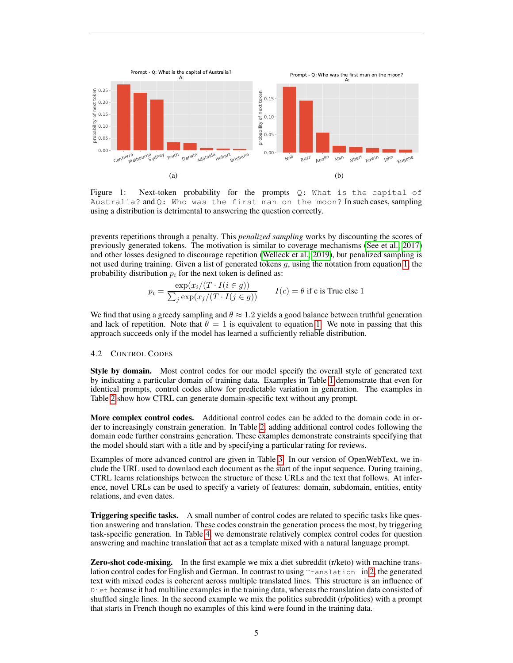<span id="page-4-0"></span>

Figure 1: Next-token probability for the prompts Q: What is the capital of Australia? and Q: Who was the first man on the moon? In such cases, sampling using a distribution is detrimental to answering the question correctly.

prevents repetitions through a penalty. This *penalized sampling* works by discounting the scores of previously generated tokens. The motivation is similar to coverage mechanisms [\(See et al., 2017\)](#page-16-7) and other losses designed to discourage repetition [\(Welleck et al., 2019\)](#page-16-8), but penalized sampling is not used during training. Given a list of generated tokens g, using the notation from equation [1,](#page-3-0) the probability distribution  $p_i$  for the next token is defined as:

$$
p_i = \frac{\exp(x_i/(T \cdot I(i \in g)))}{\sum_j \exp(x_j/(T \cdot I(j \in g)))}
$$
  $I(c) = \theta$  if c is True else 1

We find that using a greedy sampling and  $\theta \approx 1.2$  yields a good balance between truthful generation and lack of repetition. Note that  $\theta = 1$  is equivalent to equation [1.](#page-3-0) We note in passing that this approach succeeds only if the model has learned a sufficiently reliable distribution.

#### 4.2 CONTROL CODES

Style by domain. Most control codes for our model specify the overall style of generated text by indicating a particular domain of training data. Examples in Table [1](#page-5-0) demonstrate that even for identical prompts, control codes allow for predictable variation in generation. The examples in Table [2](#page-6-0) show how CTRL can generate domain-specific text without any prompt.

More complex control codes. Additional control codes can be added to the domain code in order to increasingly constrain generation. In Table [2,](#page-6-0) adding additional control codes following the domain code further constrains generation. These examples demonstrate constraints specifying that the model should start with a title and by specifying a particular rating for reviews.

Examples of more advanced control are given in Table [3.](#page-7-0) In our version of OpenWebText, we include the URL used to downlaod each document as the start of the input sequence. During training, CTRL learns relationships between the structure of these URLs and the text that follows. At inference, novel URLs can be used to specify a variety of features: domain, subdomain, entities, entity relations, and even dates.

Triggering specific tasks. A small number of control codes are related to specific tasks like question answering and translation. These codes constrain the generation process the most, by triggering task-specific generation. In Table [4,](#page-8-0) we demonstrate relatively complex control codes for question answering and machine translation that act as a template mixed with a natural language prompt.

Zero-shot code-mixing. In the first example we mix a diet subreddit (r/keto) with machine translation control codes for English and German. In contrast to using Translation in [2,](#page-6-0) the generated text with mixed codes is coherent across multiple translated lines. This structure is an influence of Diet because it had multiline examples in the training data, whereas the translation data consisted of shuffled single lines. In the second example we mix the politics subreddit (r/politics) with a prompt that starts in French though no examples of this kind were found in the training data.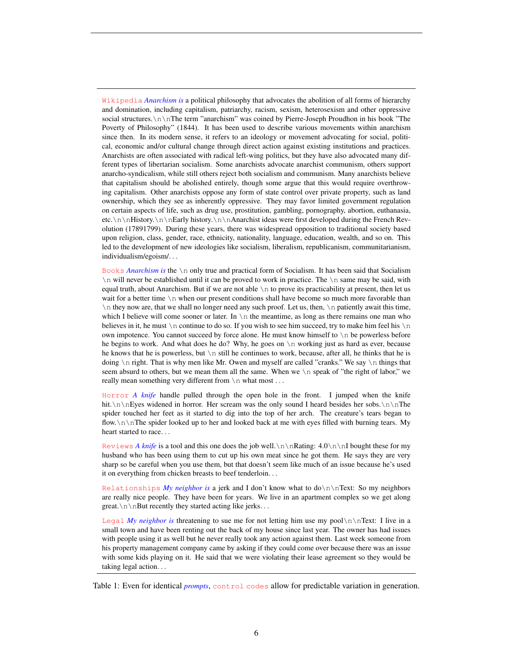<span id="page-5-0"></span>Wikipedia *Anarchism is* a political philosophy that advocates the abolition of all forms of hierarchy and domination, including capitalism, patriarchy, racism, sexism, heterosexism and other oppressive social structures.\n\nThe term "anarchism" was coined by Pierre-Joseph Proudhon in his book "The Poverty of Philosophy" (1844). It has been used to describe various movements within anarchism since then. In its modern sense, it refers to an ideology or movement advocating for social, political, economic and/or cultural change through direct action against existing institutions and practices. Anarchists are often associated with radical left-wing politics, but they have also advocated many different types of libertarian socialism. Some anarchists advocate anarchist communism, others support anarcho-syndicalism, while still others reject both socialism and communism. Many anarchists believe that capitalism should be abolished entirely, though some argue that this would require overthrowing capitalism. Other anarchists oppose any form of state control over private property, such as land ownership, which they see as inherently oppressive. They may favor limited government regulation on certain aspects of life, such as drug use, prostitution, gambling, pornography, abortion, euthanasia, etc.\n\nHistory.\n\nEarly history.\n\nAnarchist ideas were first developed during the French Revolution (17891799). During these years, there was widespread opposition to traditional society based upon religion, class, gender, race, ethnicity, nationality, language, education, wealth, and so on. This led to the development of new ideologies like socialism, liberalism, republicanism, communitarianism, individualism/egoism/. . .

Books *Anarchism is* the \n only true and practical form of Socialism. It has been said that Socialism \n will never be established until it can be proved to work in practice. The \n same may be said, with equal truth, about Anarchism. But if we are not able  $\ln$  to prove its practicability at present, then let us wait for a better time  $\n\alpha$  when our present conditions shall have become so much more favorable than \n they now are, that we shall no longer need any such proof. Let us, then, \n patiently await this time, which I believe will come sooner or later. In  $\n\times$  the meantime, as long as there remains one man who believes in it, he must  $\n\times$ n continue to do so. If you wish to see him succeed, try to make him feel his  $\n\times$ n own impotence. You cannot succeed by force alone. He must know himself to \n be powerless before he begins to work. And what does he do? Why, he goes on \n working just as hard as ever, because he knows that he is powerless, but  $\ln$  still he continues to work, because, after all, he thinks that he is doing  $\n \$ n right. That is why men like Mr. Owen and myself are called "cranks." We say  $\n \$ n things that seem absurd to others, but we mean them all the same. When we \n speak of "the right of labor," we really mean something very different from  $\ln$  what most ...

Horror *A knife* handle pulled through the open hole in the front. I jumped when the knife hit. $\n\in\mathbb{N}$ . Her scream was the only sound I heard besides her sobs. $\n\in\mathbb{N}$ . spider touched her feet as it started to dig into the top of her arch. The creature's tears began to flow. \n\nThe spider looked up to her and looked back at me with eyes filled with burning tears. My heart started to race. . .

Reviews *A knife* is a tool and this one does the job well.\n\nRating: 4.0\n\nI bought these for my husband who has been using them to cut up his own meat since he got them. He says they are very sharp so be careful when you use them, but that doesn't seem like much of an issue because he's used it on everything from chicken breasts to beef tenderloin. . .

Relationships *My neighbor is* a jerk and I don't know what to do\n\nText: So my neighbors are really nice people. They have been for years. We live in an apartment complex so we get along great. $\n\n\in\mathbb{R}$  is recently they started acting like jerks. . .

Legal *My neighbor is* threatening to sue me for not letting him use my pool $\ln \left( \frac{n}{\ln \frac{1}{n}} \right)$  live in a small town and have been renting out the back of my house since last year. The owner has had issues with people using it as well but he never really took any action against them. Last week someone from his property management company came by asking if they could come over because there was an issue with some kids playing on it. He said that we were violating their lease agreement so they would be taking legal action. . .

Table 1: Even for identical *prompts*, control codes allow for predictable variation in generation.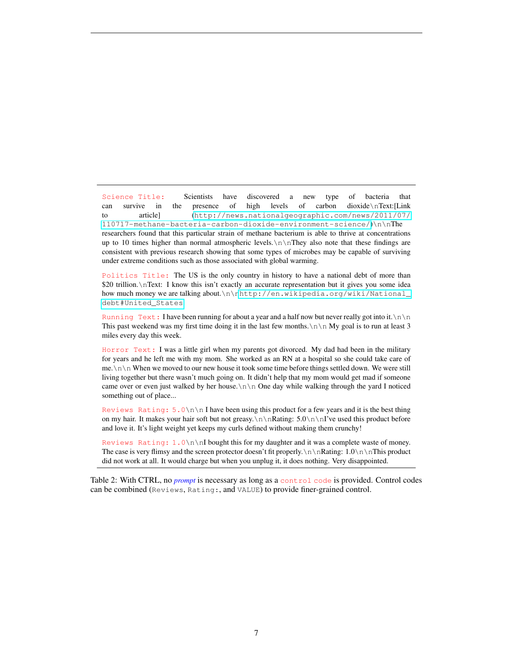<span id="page-6-0"></span>Science Title: Scientists have discovered a new type of bacteria that can survive in the presence of high levels of carbon dioxide\nText:[Link to article] ([http://news.nationalgeographic.com/news/2011/07/](http://news.nationalgeographic.com/news/2011/07/110717-methane-bacteria-carbon-dioxide-environment-science/) [110717-methane-bacteria-carbon-dioxide-environment-science/](http://news.nationalgeographic.com/news/2011/07/110717-methane-bacteria-carbon-dioxide-environment-science/))\n\nThe researchers found that this particular strain of methane bacterium is able to thrive at concentrations up to 10 times higher than normal atmospheric levels. $\n \n \in \mathbb{R}$  also note that these findings are consistent with previous research showing that some types of microbes may be capable of surviving under extreme conditions such as those associated with global warming.

Politics Title: The US is the only country in history to have a national debt of more than \$20 trillion. \nText: I know this isn't exactly an accurate representation but it gives you some idea how much money we are talking about.\n\[nhttp://en.wikipedia.org/wiki/National\\_](http://en.wikipedia.org/wiki/National_debt#United_States) [debt#United\\_States](http://en.wikipedia.org/wiki/National_debt#United_States)

Running Text: I have been running for about a year and a half now but never really got into it. $\ln \ln$ This past weekend was my first time doing it in the last few months. $\ln \ln My$  goal is to run at least 3 miles every day this week.

Horror Text: I was a little girl when my parents got divorced. My dad had been in the military for years and he left me with my mom. She worked as an RN at a hospital so she could take care of me.\n\n When we moved to our new house it took some time before things settled down. We were still living together but there wasn't much going on. It didn't help that my mom would get mad if someone came over or even just walked by her house. $\ln \ln$  One day while walking through the yard I noticed something out of place...

Reviews Rating:  $5.0\n\times n$  I have been using this product for a few years and it is the best thing on my hair. It makes your hair soft but not greasy. $\n\cdot$  Rating:  $5.0\n\$   $\cdot$  I've used this product before and love it. It's light weight yet keeps my curls defined without making them crunchy!

Reviews Rating: 1.0\n\nI bought this for my daughter and it was a complete waste of money. The case is very flimsy and the screen protector doesn't fit properly. \n \nRating:  $1.0\n\ nThis product$ did not work at all. It would charge but when you unplug it, it does nothing. Very disappointed.

Table 2: With CTRL, no *prompt* is necessary as long as a control code is provided. Control codes can be combined (Reviews, Rating:, and VALUE) to provide finer-grained control.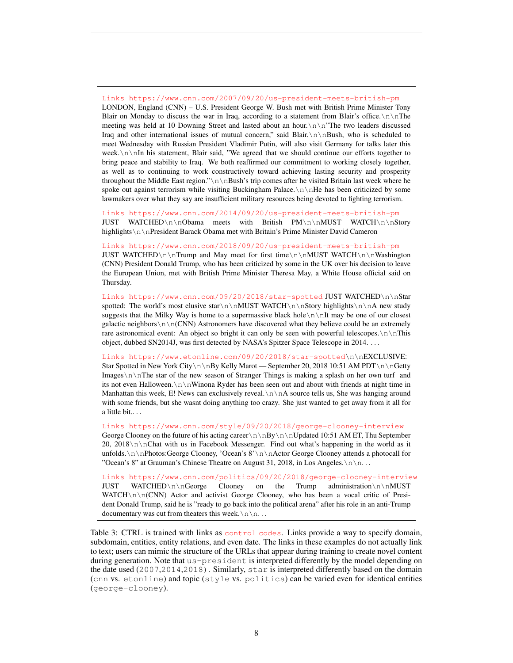<span id="page-7-0"></span>Links https://www.cnn.com/2007/09/20/us-president-meets-british-pm LONDON, England (CNN) – U.S. President George W. Bush met with British Prime Minister Tony Blair on Monday to discuss the war in Iraq, according to a statement from Blair's office. $\n\cdot \ln \theta$ meeting was held at 10 Downing Street and lasted about an hour.\n\n"The two leaders discussed Iraq and other international issues of mutual concern," said Blair. $\n\in\mathbb{B}$ ush, who is scheduled to meet Wednesday with Russian President Vladimir Putin, will also visit Germany for talks later this week.\n\nIn his statement, Blair said, "We agreed that we should continue our efforts together to bring peace and stability to Iraq. We both reaffirmed our commitment to working closely together, as well as to continuing to work constructively toward achieving lasting security and prosperity throughout the Middle East region."\n\nBush's trip comes after he visited Britain last week where he spoke out against terrorism while visiting Buckingham Palace. $\ln \ln$ He has been criticized by some lawmakers over what they say are insufficient military resources being devoted to fighting terrorism.

Links https://www.cnn.com/2014/09/20/us-president-meets-british-pm JUST WATCHED\n\nObama meets with British PM\n\nMUST WATCH\n\nStory highlights\n\nPresident Barack Obama met with Britain's Prime Minister David Cameron

Links https://www.cnn.com/2018/09/20/us-president-meets-british-pm JUST WATCHED\n\nTrump and May meet for first time\n\nMUST WATCH\n\nWashington (CNN) President Donald Trump, who has been criticized by some in the UK over his decision to leave the European Union, met with British Prime Minister Theresa May, a White House official said on Thursday.

Links https://www.cnn.com/09/20/2018/star-spotted JUST WATCHED\n\nStar spotted: The world's most elusive star $\n\lambda \n\Delta$  watch $\lambda \n\Delta$  new study suggests that the Milky Way is home to a supermassive black hole $\n\cdot n$  InIt may be one of our closest galactic neighbors $\n\alpha\in(CNN)$  Astronomers have discovered what they believe could be an extremely rare astronomical event: An object so bright it can only be seen with powerful telescopes. $\n \n \in \n \mathbb{R}$ object, dubbed SN2014J, was first detected by NASA's Spitzer Space Telescope in 2014. . . .

Links https://www.etonline.com/09/20/2018/star-spotted\n\nEXCLUSIVE: Star Spotted in New York City\n\nBy Kelly Marot — September 20, 2018 10:51 AM PDT\n\nGetty Images\n\nThe star of the new season of Stranger Things is making a splash on her own turf and its not even Halloween. $\n\cdot n\cdot N$  Winona Ryder has been seen out and about with friends at night time in Manhattan this week, E! News can exclusively reveal. $\n \n \alpha$  source tells us, She was hanging around with some friends, but she wasnt doing anything too crazy. She just wanted to get away from it all for a little bit.. . .

Links https://www.cnn.com/style/09/20/2018/george-clooney-interview

George Clooney on the future of his acting career $\n\ln\frac{By}{n\ndated 10:51 AM ET, Thu September}$ 20, 2018 $\nabla \nabla \cdot \mathbf{C}$  as in Facebook Messenger. Find out what's happening in the world as it unfolds. $\n\n\nPhotos:George Clooney, 'Ocean's 8'\n\nActor George Clooney attends a photocall for$ "Ocean's 8" at Grauman's Chinese Theatre on August 31, 2018, in Los Angeles. $\n\ln \ln \dots$ 

Links https://www.cnn.com/politics/09/20/2018/george-clooney-interview JUST WATCHED\n\nGeorge Clooney on the Trump administration\n\nMUST WATCH $\ln\ln(CNN)$  Actor and activist George Clooney, who has been a vocal critic of President Donald Trump, said he is "ready to go back into the political arena" after his role in an anti-Trump documentary was cut from theaters this week. $\n\ln n$ ...

Table 3: CTRL is trained with links as control codes. Links provide a way to specify domain, subdomain, entities, entity relations, and even date. The links in these examples do not actually link to text; users can mimic the structure of the URLs that appear during training to create novel content during generation. Note that us-president is interpreted differently by the model depending on the date used (2007,2014,2018). Similarly, star is interpreted differently based on the domain (cnn vs. etonline) and topic (style vs. politics) can be varied even for identical entities (george-clooney).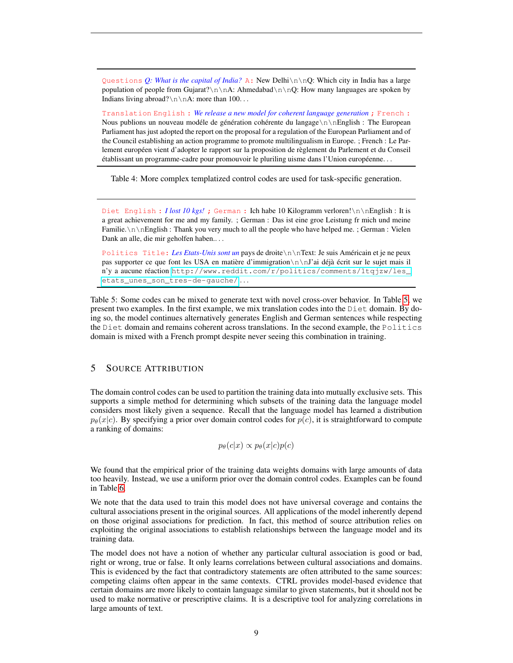<span id="page-8-0"></span>Questions *Q: What is the capital of India?* A: New Delhi\n\nQ: Which city in India has a large population of people from Gujarat? $\n\ln A$ : Ahmedabad $\n\ln A$ : How many languages are spoken by Indians living abroad? $\n\n\cdot A$ : more than 100. . .

Translation English : *We release a new model for coherent language generation* ; French : Nous publions un nouveau modéle de génération cohérente du langage  $\ln \n\leq \n\leq$  European Parliament has just adopted the report on the proposal for a regulation of the European Parliament and of the Council establishing an action programme to promote multilingualism in Europe. ; French : Le Parlement européen vient d'adopter le rapport sur la proposition de règlement du Parlement et du Conseil établissant un programme-cadre pour promouvoir le pluriling uisme dans l'Union européenne...

Table 4: More complex templatized control codes are used for task-specific generation.

<span id="page-8-1"></span>Diet English : *I lost 10 kgs!* ; German : Ich habe 10 Kilogramm verloren!\n\nEnglish : It is a great achievement for me and my family. ; German : Das ist eine groe Leistung fr mich und meine Familie.\n\nEnglish : Thank you very much to all the people who have helped me. ; German : Vielen Dank an alle, die mir geholfen haben.. . .

Politics Title: *Les Etats-Unis sont un* pays de droite\n\nText: Je suis Americain et je ne peux ´ pas supporter ce que font les USA en matière d'immigration  $\n\cdot\ln$ 'ai déjà écrit sur le sujet mais il n'y a aucune réaction [http://www.reddit.com/r/politics/comments/1tqjzw/les\\_](http://www.reddit.com/r/politics/comments/1tqjzw/les_etats_unes_son_tres-de-gauche/) [etats\\_unes\\_son\\_tres-de-gauche/](http://www.reddit.com/r/politics/comments/1tqjzw/les_etats_unes_son_tres-de-gauche/) . . .

Table 5: Some codes can be mixed to generate text with novel cross-over behavior. In Table [5,](#page-8-1) we present two examples. In the first example, we mix translation codes into the Diet domain. By doing so, the model continues alternatively generates English and German sentences while respecting the Diet domain and remains coherent across translations. In the second example, the Politics domain is mixed with a French prompt despite never seeing this combination in training.

## 5 SOURCE ATTRIBUTION

The domain control codes can be used to partition the training data into mutually exclusive sets. This supports a simple method for determining which subsets of the training data the language model considers most likely given a sequence. Recall that the language model has learned a distribution  $p_{\theta}(x|c)$ . By specifying a prior over domain control codes for  $p(c)$ , it is straightforward to compute a ranking of domains:

$$
p_{\theta}(c|x) \propto p_{\theta}(x|c)p(c)
$$

We found that the empirical prior of the training data weights domains with large amounts of data too heavily. Instead, we use a uniform prior over the domain control codes. Examples can be found in Table [6.](#page-9-0)

We note that the data used to train this model does not have universal coverage and contains the cultural associations present in the original sources. All applications of the model inherently depend on those original associations for prediction. In fact, this method of source attribution relies on exploiting the original associations to establish relationships between the language model and its training data.

The model does not have a notion of whether any particular cultural association is good or bad, right or wrong, true or false. It only learns correlations between cultural associations and domains. This is evidenced by the fact that contradictory statements are often attributed to the same sources: competing claims often appear in the same contexts. CTRL provides model-based evidence that certain domains are more likely to contain language similar to given statements, but it should not be used to make normative or prescriptive claims. It is a descriptive tool for analyzing correlations in large amounts of text.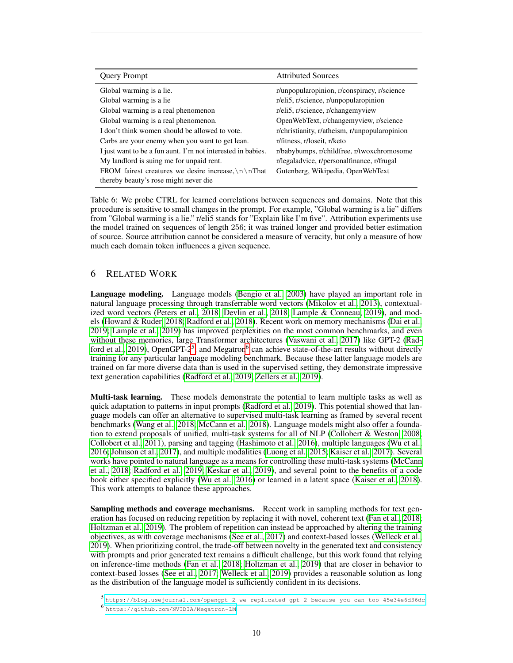<span id="page-9-0"></span>

| <b>Query Prompt</b>                                                                                  | <b>Attributed Sources</b>                     |
|------------------------------------------------------------------------------------------------------|-----------------------------------------------|
| Global warming is a lie.                                                                             | r/unpopularopinion, r/conspiracy, r/science   |
| Global warming is a lie.                                                                             | r/eli5, r/science, r/unpopularopinion         |
| Global warming is a real phenomenon                                                                  | r/eli5, r/science, r/changemyview             |
| Global warming is a real phenomenon.                                                                 | OpenWebText, r/changemyview, r/science        |
| I don't think women should be allowed to vote.                                                       | r/christianity, r/atheism, r/unpopularopinion |
| Carbs are your enemy when you want to get lean.                                                      | r/fitness, r/loseit, r/keto                   |
| I just want to be a fun aunt. I'm not interested in babies.                                          | r/babybumps, r/childfree, r/twoxchromosome    |
| My landlord is suing me for unpaid rent.                                                             | r/legaladvice, r/personalfinance, r/frugal    |
| FROM fairest creatures we desire increase, $\ln \ln \theta$<br>thereby beauty's rose might never die | Gutenberg, Wikipedia, OpenWebText             |

Table 6: We probe CTRL for learned correlations between sequences and domains. Note that this procedure is sensitive to small changes in the prompt. For example, "Global warming is a lie" differs from "Global warming is a lie." r/eli5 stands for "Explain like I'm five". Attribution experiments use the model trained on sequences of length 256; it was trained longer and provided better estimation of source. Source attribution cannot be considered a measure of veracity, but only a measure of how much each domain token influences a given sequence.

## 6 RELATED WORK

Language modeling. Language models [\(Bengio et al., 2003\)](#page-12-3) have played an important role in natural language processing through transferrable word vectors [\(Mikolov et al., 2013\)](#page-15-1), contextualized word vectors [\(Peters et al., 2018;](#page-15-2) [Devlin et al., 2018;](#page-13-1) [Lample & Conneau, 2019\)](#page-14-9), and models [\(Howard & Ruder, 2018;](#page-13-3) [Radford et al., 2018\)](#page-15-3). Recent work on memory mechanisms [\(Dai et al.,](#page-13-5) [2019;](#page-13-5) [Lample et al., 2019\)](#page-14-10) has improved perplexities on the most common benchmarks, and even without these memories, large Transformer architectures [\(Vaswani et al., 2017\)](#page-16-1) like GPT-2 [\(Rad](#page-15-4)[ford et al., 2019\)](#page-15-4), OpenGPT- $2^5$  $2^5$ , and Megatron<sup>[6](#page-9-2)</sup> can achieve state-of-the-art results without directly training for any particular language modeling benchmark. Because these latter language models are trained on far more diverse data than is used in the supervised setting, they demonstrate impressive text generation capabilities [\(Radford et al., 2019;](#page-15-4) [Zellers et al., 2019\)](#page-16-9).

Multi-task learning. These models demonstrate the potential to learn multiple tasks as well as quick adaptation to patterns in input prompts [\(Radford et al., 2019\)](#page-15-4). This potential showed that language models can offer an alternative to supervised multi-task learning as framed by several recent benchmarks [\(Wang et al., 2018;](#page-16-10) [McCann et al., 2018\)](#page-14-3). Language models might also offer a foundation to extend proposals of unified, multi-task systems for all of NLP [\(Collobert & Weston, 2008;](#page-12-10) [Collobert et al., 2011\)](#page-12-11), parsing and tagging [\(Hashimoto et al., 2016\)](#page-13-16), multiple languages [\(Wu et al.,](#page-16-5) [2016;](#page-16-5) [Johnson et al., 2017\)](#page-13-11), and multiple modalities [\(Luong et al., 2015;](#page-14-11) [Kaiser et al., 2017\)](#page-14-12). Several works have pointed to natural language as a means for controlling these multi-task systems [\(McCann](#page-14-3) [et al., 2018;](#page-14-3) [Radford et al., 2019;](#page-15-4) [Keskar et al., 2019\)](#page-14-13), and several point to the benefits of a code book either specified explicitly [\(Wu et al., 2016\)](#page-16-5) or learned in a latent space [\(Kaiser et al., 2018\)](#page-14-14). This work attempts to balance these approaches.

Sampling methods and coverage mechanisms. Recent work in sampling methods for text generation has focused on reducing repetition by replacing it with novel, coherent text [\(Fan et al., 2018;](#page-13-4) [Holtzman et al., 2019\)](#page-13-15). The problem of repetition can instead be approached by altering the training objectives, as with coverage mechanisms [\(See et al., 2017\)](#page-16-7) and context-based losses [\(Welleck et al.,](#page-16-8) [2019\)](#page-16-8). When prioritizing control, the trade-off between novelty in the generated text and consistency with prompts and prior generated text remains a difficult challenge, but this work found that relying on inference-time methods [\(Fan et al., 2018;](#page-13-4) [Holtzman et al., 2019\)](#page-13-15) that are closer in behavior to context-based losses [\(See et al., 2017;](#page-16-7) [Welleck et al., 2019\)](#page-16-8) provides a reasonable solution as long as the distribution of the language model is sufficiently confident in its decisions.

<span id="page-9-2"></span><span id="page-9-1"></span><sup>5</sup> <https://blog.usejournal.com/opengpt-2-we-replicated-gpt-2-because-you-can-too-45e34e6d36dc> 6 <https://github.com/NVIDIA/Megatron-LM>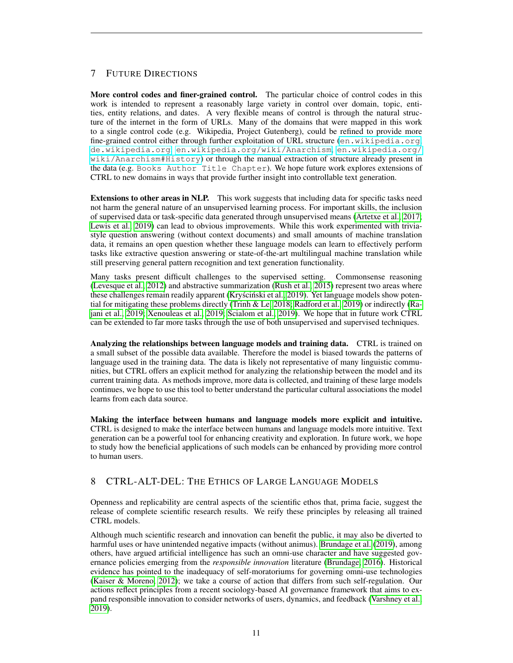# 7 FUTURE DIRECTIONS

More control codes and finer-grained control. The particular choice of control codes in this work is intended to represent a reasonably large variety in control over domain, topic, entities, entity relations, and dates. A very flexible means of control is through the natural structure of the internet in the form of URLs. Many of the domains that were mapped in this work to a single control code (e.g. Wikipedia, Project Gutenberg), could be refined to provide more fine-grained control either through further exploitation of URL structure (<en.wikipedia.org>, <de.wikipedia.org>, <en.wikipedia.org/wiki/Anarchism>, [en.wikipedia.org/](en.wikipedia.org/wiki/Anarchism#History) [wiki/Anarchism#History](en.wikipedia.org/wiki/Anarchism#History)) or through the manual extraction of structure already present in the data (e.g. Books Author Title Chapter). We hope future work explores extensions of CTRL to new domains in ways that provide further insight into controllable text generation.

Extensions to other areas in NLP. This work suggests that including data for specific tasks need not harm the general nature of an unsupervised learning process. For important skills, the inclusion of supervised data or task-specific data generated through unsupervised means [\(Artetxe et al., 2017;](#page-12-12) [Lewis et al., 2019\)](#page-14-15) can lead to obvious improvements. While this work experimented with triviastyle question answering (without context documents) and small amounts of machine translation data, it remains an open question whether these language models can learn to effectively perform tasks like extractive question answering or state-of-the-art multilingual machine translation while still preserving general pattern recognition and text generation functionality.

Many tasks present difficult challenges to the supervised setting. Commonsense reasoning [\(Levesque et al., 2012\)](#page-14-16) and abstractive summarization [\(Rush et al., 2015\)](#page-15-0) represent two areas where these challenges remain readily apparent (Kryściński et al., 2019). Yet language models show potential for mitigating these problems directly [\(Trinh & Le, 2018;](#page-16-11) [Radford et al., 2019\)](#page-15-4) or indirectly [\(Ra](#page-15-13)[jani et al., 2019;](#page-15-13) [Xenouleas et al., 2019;](#page-16-12) [Scialom et al., 2019\)](#page-15-14). We hope that in future work CTRL can be extended to far more tasks through the use of both unsupervised and supervised techniques.

Analyzing the relationships between language models and training data. CTRL is trained on a small subset of the possible data available. Therefore the model is biased towards the patterns of language used in the training data. The data is likely not representative of many linguistic communities, but CTRL offers an explicit method for analyzing the relationship between the model and its current training data. As methods improve, more data is collected, and training of these large models continues, we hope to use this tool to better understand the particular cultural associations the model learns from each data source.

Making the interface between humans and language models more explicit and intuitive. CTRL is designed to make the interface between humans and language models more intuitive. Text generation can be a powerful tool for enhancing creativity and exploration. In future work, we hope to study how the beneficial applications of such models can be enhanced by providing more control to human users.

# 8 CTRL-ALT-DEL: THE ETHICS OF LARGE LANGUAGE MODELS

Openness and replicability are central aspects of the scientific ethos that, prima facie, suggest the release of complete scientific research results. We reify these principles by releasing all trained CTRL models.

Although much scientific research and innovation can benefit the public, it may also be diverted to harmful uses or have unintended negative impacts (without animus). [Brundage et al.](#page-12-13) [\(2019\)](#page-12-13), among others, have argued artificial intelligence has such an omni-use character and have suggested governance policies emerging from the *responsible innovation* literature [\(Brundage, 2016\)](#page-12-14). Historical evidence has pointed to the inadequacy of self-moratoriums for governing omni-use technologies [\(Kaiser & Moreno, 2012\)](#page-14-18); we take a course of action that differs from such self-regulation. Our actions reflect principles from a recent sociology-based AI governance framework that aims to expand responsible innovation to consider networks of users, dynamics, and feedback [\(Varshney et al.,](#page-16-13) [2019\)](#page-16-13).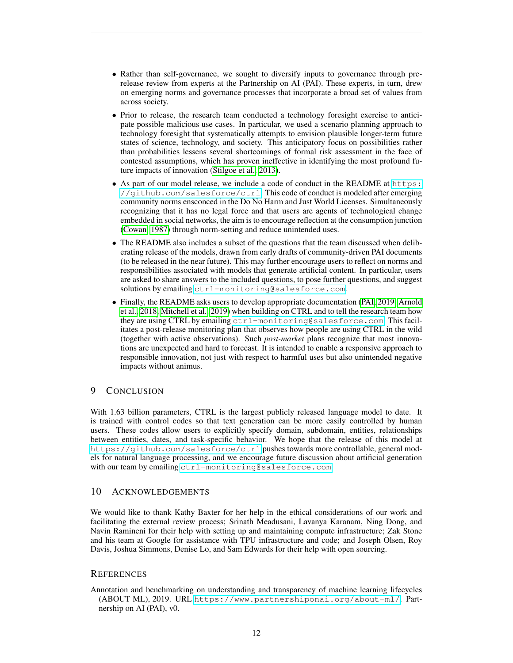- Rather than self-governance, we sought to diversify inputs to governance through prerelease review from experts at the Partnership on AI (PAI). These experts, in turn, drew on emerging norms and governance processes that incorporate a broad set of values from across society.
- Prior to release, the research team conducted a technology foresight exercise to anticipate possible malicious use cases. In particular, we used a scenario planning approach to technology foresight that systematically attempts to envision plausible longer-term future states of science, technology, and society. This anticipatory focus on possibilities rather than probabilities lessens several shortcomings of formal risk assessment in the face of contested assumptions, which has proven ineffective in identifying the most profound future impacts of innovation [\(Stilgoe et al., 2013\)](#page-16-14).
- As part of our model release, we include a code of conduct in the README at [https:](https://github.com/salesforce/ctrl) [//github.com/salesforce/ctrl](https://github.com/salesforce/ctrl). This code of conduct is modeled after emerging community norms ensconced in the Do No Harm and Just World Licenses. Simultaneously recognizing that it has no legal force and that users are agents of technological change embedded in social networks, the aim is to encourage reflection at the consumption junction [\(Cowan, 1987\)](#page-13-17) through norm-setting and reduce unintended uses.
- The README also includes a subset of the questions that the team discussed when deliberating release of the models, drawn from early drafts of community-driven PAI documents (to be released in the near future). This may further encourage users to reflect on norms and responsibilities associated with models that generate artificial content. In particular, users are asked to share answers to the included questions, to pose further questions, and suggest solutions by emailing <ctrl-monitoring@salesforce.com>.
- Finally, the README asks users to develop appropriate documentation [\(PAI, 2019;](#page-11-0) [Arnold](#page-12-15) [et al., 2018;](#page-12-15) [Mitchell et al., 2019\)](#page-15-15) when building on CTRL and to tell the research team how they are using CTRL by emailing <ctrl-monitoring@salesforce.com>. This facilitates a post-release monitoring plan that observes how people are using CTRL in the wild (together with active observations). Such *post-market* plans recognize that most innovations are unexpected and hard to forecast. It is intended to enable a responsive approach to responsible innovation, not just with respect to harmful uses but also unintended negative impacts without animus.

## 9 CONCLUSION

With 1.63 billion parameters, CTRL is the largest publicly released language model to date. It is trained with control codes so that text generation can be more easily controlled by human users. These codes allow users to explicitly specify domain, subdomain, entities, relationships between entities, dates, and task-specific behavior. We hope that the release of this model at <https://github.com/salesforce/ctrl> pushes towards more controllable, general models for natural language processing, and we encourage future discussion about artificial generation with our team by emailing <ctrl-monitoring@salesforce.com>.

#### 10 ACKNOWLEDGEMENTS

We would like to thank Kathy Baxter for her help in the ethical considerations of our work and facilitating the external review process; Srinath Meadusani, Lavanya Karanam, Ning Dong, and Navin Ramineni for their help with setting up and maintaining compute infrastructure; Zak Stone and his team at Google for assistance with TPU infrastructure and code; and Joseph Olsen, Roy Davis, Joshua Simmons, Denise Lo, and Sam Edwards for their help with open sourcing.

#### **REFERENCES**

<span id="page-11-0"></span>Annotation and benchmarking on understanding and transparency of machine learning lifecycles (ABOUT ML), 2019. URL <https://www.partnershiponai.org/about-ml/>. Partnership on AI (PAI), v0.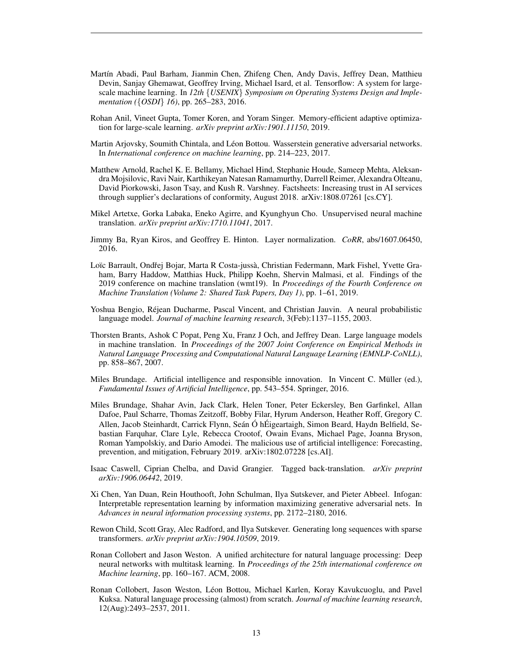- <span id="page-12-7"></span>Martín Abadi, Paul Barham, Jianmin Chen, Zhifeng Chen, Andy Davis, Jeffrey Dean, Matthieu Devin, Sanjay Ghemawat, Geoffrey Irving, Michael Isard, et al. Tensorflow: A system for largescale machine learning. In *12th* {*USENIX*} *Symposium on Operating Systems Design and Implementation (*{*OSDI*} *16)*, pp. 265–283, 2016.
- <span id="page-12-9"></span>Rohan Anil, Vineet Gupta, Tomer Koren, and Yoram Singer. Memory-efficient adaptive optimization for large-scale learning. *arXiv preprint arXiv:1901.11150*, 2019.
- <span id="page-12-0"></span>Martin Arjovsky, Soumith Chintala, and Léon Bottou. Wasserstein generative adversarial networks. In *International conference on machine learning*, pp. 214–223, 2017.
- <span id="page-12-15"></span>Matthew Arnold, Rachel K. E. Bellamy, Michael Hind, Stephanie Houde, Sameep Mehta, Aleksandra Mojsilovic, Ravi Nair, Karthikeyan Natesan Ramamurthy, Darrell Reimer, Alexandra Olteanu, David Piorkowski, Jason Tsay, and Kush R. Varshney. Factsheets: Increasing trust in AI services through supplier's declarations of conformity, August 2018. arXiv:1808.07261 [cs.CY].
- <span id="page-12-12"></span>Mikel Artetxe, Gorka Labaka, Eneko Agirre, and Kyunghyun Cho. Unsupervised neural machine translation. *arXiv preprint arXiv:1710.11041*, 2017.
- <span id="page-12-4"></span>Jimmy Ba, Ryan Kiros, and Geoffrey E. Hinton. Layer normalization. *CoRR*, abs/1607.06450, 2016.
- <span id="page-12-6"></span>Loïc Barrault, Ondřej Bojar, Marta R Costa-jussà, Christian Federmann, Mark Fishel, Yvette Graham, Barry Haddow, Matthias Huck, Philipp Koehn, Shervin Malmasi, et al. Findings of the 2019 conference on machine translation (wmt19). In *Proceedings of the Fourth Conference on Machine Translation (Volume 2: Shared Task Papers, Day 1)*, pp. 1–61, 2019.
- <span id="page-12-3"></span>Yoshua Bengio, Rejean Ducharme, Pascal Vincent, and Christian Jauvin. A neural probabilistic ´ language model. *Journal of machine learning research*, 3(Feb):1137–1155, 2003.
- <span id="page-12-2"></span>Thorsten Brants, Ashok C Popat, Peng Xu, Franz J Och, and Jeffrey Dean. Large language models in machine translation. In *Proceedings of the 2007 Joint Conference on Empirical Methods in Natural Language Processing and Computational Natural Language Learning (EMNLP-CoNLL)*, pp. 858–867, 2007.
- <span id="page-12-14"></span>Miles Brundage. Artificial intelligence and responsible innovation. In Vincent C. Muller (ed.), ¨ *Fundamental Issues of Artificial Intelligence*, pp. 543–554. Springer, 2016.
- <span id="page-12-13"></span>Miles Brundage, Shahar Avin, Jack Clark, Helen Toner, Peter Eckersley, Ben Garfinkel, Allan Dafoe, Paul Scharre, Thomas Zeitzoff, Bobby Filar, Hyrum Anderson, Heather Roff, Gregory C. Allen, Jacob Steinhardt, Carrick Flynn, Seán Ó hÉigeartaigh, Simon Beard, Haydn Belfield, Sebastian Farquhar, Clare Lyle, Rebecca Crootof, Owain Evans, Michael Page, Joanna Bryson, Roman Yampolskiy, and Dario Amodei. The malicious use of artificial intelligence: Forecasting, prevention, and mitigation, February 2019. arXiv:1802.07228 [cs.AI].
- <span id="page-12-8"></span>Isaac Caswell, Ciprian Chelba, and David Grangier. Tagged back-translation. *arXiv preprint arXiv:1906.06442*, 2019.
- <span id="page-12-1"></span>Xi Chen, Yan Duan, Rein Houthooft, John Schulman, Ilya Sutskever, and Pieter Abbeel. Infogan: Interpretable representation learning by information maximizing generative adversarial nets. In *Advances in neural information processing systems*, pp. 2172–2180, 2016.
- <span id="page-12-5"></span>Rewon Child, Scott Gray, Alec Radford, and Ilya Sutskever. Generating long sequences with sparse transformers. *arXiv preprint arXiv:1904.10509*, 2019.
- <span id="page-12-10"></span>Ronan Collobert and Jason Weston. A unified architecture for natural language processing: Deep neural networks with multitask learning. In *Proceedings of the 25th international conference on Machine learning*, pp. 160–167. ACM, 2008.
- <span id="page-12-11"></span>Ronan Collobert, Jason Weston, Léon Bottou, Michael Karlen, Koray Kavukcuoglu, and Pavel Kuksa. Natural language processing (almost) from scratch. *Journal of machine learning research*, 12(Aug):2493–2537, 2011.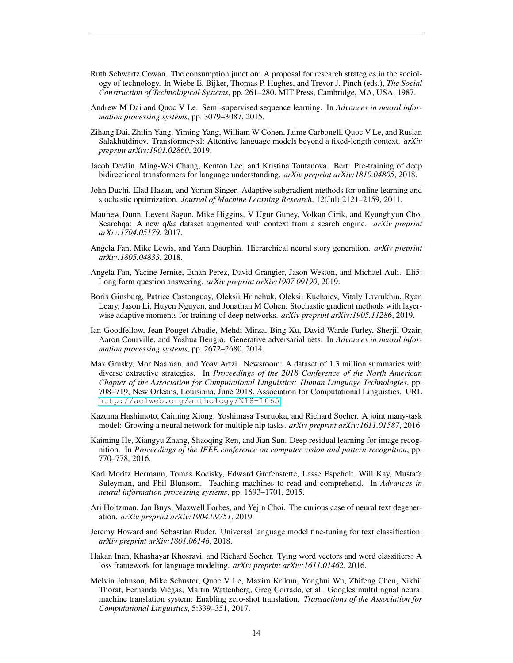- <span id="page-13-17"></span>Ruth Schwartz Cowan. The consumption junction: A proposal for research strategies in the sociology of technology. In Wiebe E. Bijker, Thomas P. Hughes, and Trevor J. Pinch (eds.), *The Social Construction of Technological Systems*, pp. 261–280. MIT Press, Cambridge, MA, USA, 1987.
- <span id="page-13-2"></span>Andrew M Dai and Quoc V Le. Semi-supervised sequence learning. In *Advances in neural information processing systems*, pp. 3079–3087, 2015.
- <span id="page-13-5"></span>Zihang Dai, Zhilin Yang, Yiming Yang, William W Cohen, Jaime Carbonell, Quoc V Le, and Ruslan Salakhutdinov. Transformer-xl: Attentive language models beyond a fixed-length context. *arXiv preprint arXiv:1901.02860*, 2019.
- <span id="page-13-1"></span>Jacob Devlin, Ming-Wei Chang, Kenton Lee, and Kristina Toutanova. Bert: Pre-training of deep bidirectional transformers for language understanding. *arXiv preprint arXiv:1810.04805*, 2018.
- <span id="page-13-13"></span>John Duchi, Elad Hazan, and Yoram Singer. Adaptive subgradient methods for online learning and stochastic optimization. *Journal of Machine Learning Research*, 12(Jul):2121–2159, 2011.
- <span id="page-13-10"></span>Matthew Dunn, Levent Sagun, Mike Higgins, V Ugur Guney, Volkan Cirik, and Kyunghyun Cho. Searchqa: A new q&a dataset augmented with context from a search engine. *arXiv preprint arXiv:1704.05179*, 2017.
- <span id="page-13-4"></span>Angela Fan, Mike Lewis, and Yann Dauphin. Hierarchical neural story generation. *arXiv preprint arXiv:1805.04833*, 2018.
- <span id="page-13-9"></span>Angela Fan, Yacine Jernite, Ethan Perez, David Grangier, Jason Weston, and Michael Auli. Eli5: Long form question answering. *arXiv preprint arXiv:1907.09190*, 2019.
- <span id="page-13-14"></span>Boris Ginsburg, Patrice Castonguay, Oleksii Hrinchuk, Oleksii Kuchaiev, Vitaly Lavrukhin, Ryan Leary, Jason Li, Huyen Nguyen, and Jonathan M Cohen. Stochastic gradient methods with layerwise adaptive moments for training of deep networks. *arXiv preprint arXiv:1905.11286*, 2019.
- <span id="page-13-0"></span>Ian Goodfellow, Jean Pouget-Abadie, Mehdi Mirza, Bing Xu, David Warde-Farley, Sherjil Ozair, Aaron Courville, and Yoshua Bengio. Generative adversarial nets. In *Advances in neural information processing systems*, pp. 2672–2680, 2014.
- <span id="page-13-8"></span>Max Grusky, Mor Naaman, and Yoav Artzi. Newsroom: A dataset of 1.3 million summaries with diverse extractive strategies. In *Proceedings of the 2018 Conference of the North American Chapter of the Association for Computational Linguistics: Human Language Technologies*, pp. 708–719, New Orleans, Louisiana, June 2018. Association for Computational Linguistics. URL <http://aclweb.org/anthology/N18-1065>.
- <span id="page-13-16"></span>Kazuma Hashimoto, Caiming Xiong, Yoshimasa Tsuruoka, and Richard Socher. A joint many-task model: Growing a neural network for multiple nlp tasks. *arXiv preprint arXiv:1611.01587*, 2016.
- <span id="page-13-6"></span>Kaiming He, Xiangyu Zhang, Shaoqing Ren, and Jian Sun. Deep residual learning for image recognition. In *Proceedings of the IEEE conference on computer vision and pattern recognition*, pp. 770–778, 2016.
- <span id="page-13-7"></span>Karl Moritz Hermann, Tomas Kocisky, Edward Grefenstette, Lasse Espeholt, Will Kay, Mustafa Suleyman, and Phil Blunsom. Teaching machines to read and comprehend. In *Advances in neural information processing systems*, pp. 1693–1701, 2015.
- <span id="page-13-15"></span>Ari Holtzman, Jan Buys, Maxwell Forbes, and Yejin Choi. The curious case of neural text degeneration. *arXiv preprint arXiv:1904.09751*, 2019.
- <span id="page-13-3"></span>Jeremy Howard and Sebastian Ruder. Universal language model fine-tuning for text classification. *arXiv preprint arXiv:1801.06146*, 2018.
- <span id="page-13-12"></span>Hakan Inan, Khashayar Khosravi, and Richard Socher. Tying word vectors and word classifiers: A loss framework for language modeling. *arXiv preprint arXiv:1611.01462*, 2016.
- <span id="page-13-11"></span>Melvin Johnson, Mike Schuster, Quoc V Le, Maxim Krikun, Yonghui Wu, Zhifeng Chen, Nikhil Thorat, Fernanda Viegas, Martin Wattenberg, Greg Corrado, et al. Googles multilingual neural ´ machine translation system: Enabling zero-shot translation. *Transactions of the Association for Computational Linguistics*, 5:339–351, 2017.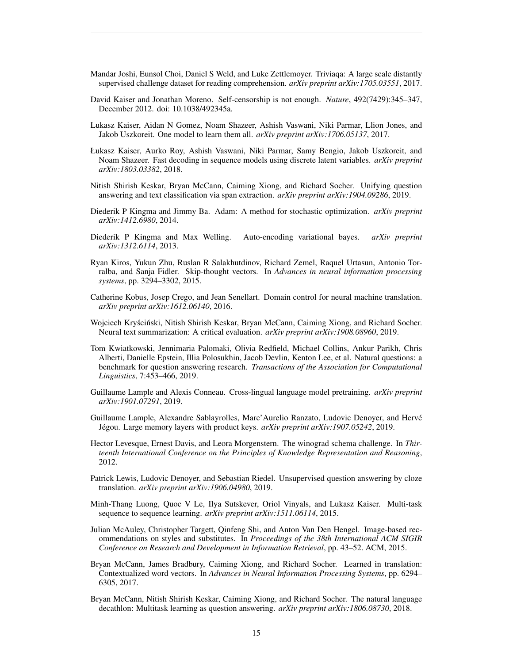- <span id="page-14-5"></span>Mandar Joshi, Eunsol Choi, Daniel S Weld, and Luke Zettlemoyer. Triviaqa: A large scale distantly supervised challenge dataset for reading comprehension. *arXiv preprint arXiv:1705.03551*, 2017.
- <span id="page-14-18"></span>David Kaiser and Jonathan Moreno. Self-censorship is not enough. *Nature*, 492(7429):345–347, December 2012. doi: 10.1038/492345a.
- <span id="page-14-12"></span>Lukasz Kaiser, Aidan N Gomez, Noam Shazeer, Ashish Vaswani, Niki Parmar, Llion Jones, and Jakob Uszkoreit. One model to learn them all. *arXiv preprint arXiv:1706.05137*, 2017.
- <span id="page-14-14"></span>Łukasz Kaiser, Aurko Roy, Ashish Vaswani, Niki Parmar, Samy Bengio, Jakob Uszkoreit, and Noam Shazeer. Fast decoding in sequence models using discrete latent variables. *arXiv preprint arXiv:1803.03382*, 2018.
- <span id="page-14-13"></span>Nitish Shirish Keskar, Bryan McCann, Caiming Xiong, and Richard Socher. Unifying question answering and text classification via span extraction. *arXiv preprint arXiv:1904.09286*, 2019.
- <span id="page-14-8"></span>Diederik P Kingma and Jimmy Ba. Adam: A method for stochastic optimization. *arXiv preprint arXiv:1412.6980*, 2014.
- <span id="page-14-0"></span>Diederik P Kingma and Max Welling. Auto-encoding variational bayes. *arXiv preprint arXiv:1312.6114*, 2013.
- <span id="page-14-1"></span>Ryan Kiros, Yukun Zhu, Ruslan R Salakhutdinov, Richard Zemel, Raquel Urtasun, Antonio Torralba, and Sanja Fidler. Skip-thought vectors. In *Advances in neural information processing systems*, pp. 3294–3302, 2015.
- <span id="page-14-7"></span>Catherine Kobus, Josep Crego, and Jean Senellart. Domain control for neural machine translation. *arXiv preprint arXiv:1612.06140*, 2016.
- <span id="page-14-17"></span>Wojciech Kryściński, Nitish Shirish Keskar, Bryan McCann, Caiming Xiong, and Richard Socher. Neural text summarization: A critical evaluation. *arXiv preprint arXiv:1908.08960*, 2019.
- <span id="page-14-6"></span>Tom Kwiatkowski, Jennimaria Palomaki, Olivia Redfield, Michael Collins, Ankur Parikh, Chris Alberti, Danielle Epstein, Illia Polosukhin, Jacob Devlin, Kenton Lee, et al. Natural questions: a benchmark for question answering research. *Transactions of the Association for Computational Linguistics*, 7:453–466, 2019.
- <span id="page-14-9"></span>Guillaume Lample and Alexis Conneau. Cross-lingual language model pretraining. *arXiv preprint arXiv:1901.07291*, 2019.
- <span id="page-14-10"></span>Guillaume Lample, Alexandre Sablayrolles, Marc'Aurelio Ranzato, Ludovic Denoyer, and Herve´ Jégou. Large memory layers with product keys. arXiv preprint arXiv:1907.05242, 2019.
- <span id="page-14-16"></span>Hector Levesque, Ernest Davis, and Leora Morgenstern. The winograd schema challenge. In *Thirteenth International Conference on the Principles of Knowledge Representation and Reasoning*, 2012.
- <span id="page-14-15"></span>Patrick Lewis, Ludovic Denoyer, and Sebastian Riedel. Unsupervised question answering by cloze translation. *arXiv preprint arXiv:1906.04980*, 2019.
- <span id="page-14-11"></span>Minh-Thang Luong, Quoc V Le, Ilya Sutskever, Oriol Vinyals, and Lukasz Kaiser. Multi-task sequence to sequence learning. *arXiv preprint arXiv:1511.06114*, 2015.
- <span id="page-14-4"></span>Julian McAuley, Christopher Targett, Qinfeng Shi, and Anton Van Den Hengel. Image-based recommendations on styles and substitutes. In *Proceedings of the 38th International ACM SIGIR Conference on Research and Development in Information Retrieval*, pp. 43–52. ACM, 2015.
- <span id="page-14-2"></span>Bryan McCann, James Bradbury, Caiming Xiong, and Richard Socher. Learned in translation: Contextualized word vectors. In *Advances in Neural Information Processing Systems*, pp. 6294– 6305, 2017.
- <span id="page-14-3"></span>Bryan McCann, Nitish Shirish Keskar, Caiming Xiong, and Richard Socher. The natural language decathlon: Multitask learning as question answering. *arXiv preprint arXiv:1806.08730*, 2018.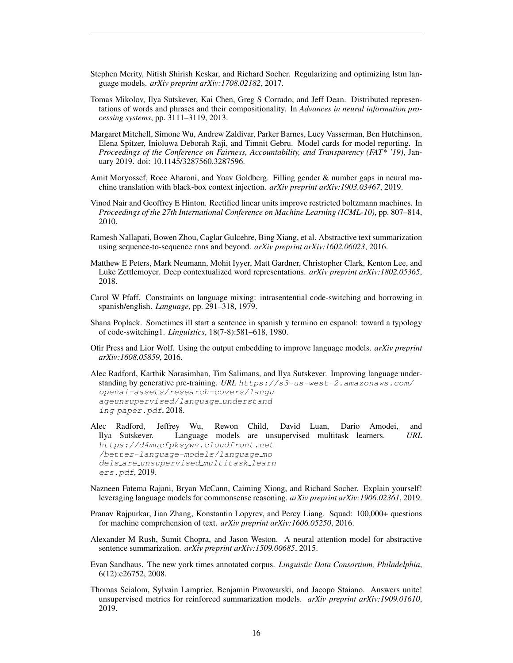- <span id="page-15-12"></span>Stephen Merity, Nitish Shirish Keskar, and Richard Socher. Regularizing and optimizing lstm language models. *arXiv preprint arXiv:1708.02182*, 2017.
- <span id="page-15-1"></span>Tomas Mikolov, Ilya Sutskever, Kai Chen, Greg S Corrado, and Jeff Dean. Distributed representations of words and phrases and their compositionality. In *Advances in neural information processing systems*, pp. 3111–3119, 2013.
- <span id="page-15-15"></span>Margaret Mitchell, Simone Wu, Andrew Zaldivar, Parker Barnes, Lucy Vasserman, Ben Hutchinson, Elena Spitzer, Inioluwa Deborah Raji, and Timnit Gebru. Model cards for model reporting. In *Proceedings of the Conference on Fairness, Accountability, and Transparency (FAT\* '19)*, January 2019. doi: 10.1145/3287560.3287596.
- <span id="page-15-10"></span>Amit Moryossef, Roee Aharoni, and Yoav Goldberg. Filling gender & number gaps in neural machine translation with black-box context injection. *arXiv preprint arXiv:1903.03467*, 2019.
- <span id="page-15-7"></span>Vinod Nair and Geoffrey E Hinton. Rectified linear units improve restricted boltzmann machines. In *Proceedings of the 27th International Conference on Machine Learning (ICML-10)*, pp. 807–814, 2010.
- <span id="page-15-16"></span>Ramesh Nallapati, Bowen Zhou, Caglar Gulcehre, Bing Xiang, et al. Abstractive text summarization using sequence-to-sequence rnns and beyond. *arXiv preprint arXiv:1602.06023*, 2016.
- <span id="page-15-2"></span>Matthew E Peters, Mark Neumann, Mohit Iyyer, Matt Gardner, Christopher Clark, Kenton Lee, and Luke Zettlemoyer. Deep contextualized word representations. *arXiv preprint arXiv:1802.05365*, 2018.
- <span id="page-15-5"></span>Carol W Pfaff. Constraints on language mixing: intrasentential code-switching and borrowing in spanish/english. *Language*, pp. 291–318, 1979.
- <span id="page-15-6"></span>Shana Poplack. Sometimes ill start a sentence in spanish y termino en espanol: toward a typology of code-switching1. *Linguistics*, 18(7-8):581–618, 1980.
- <span id="page-15-11"></span>Ofir Press and Lior Wolf. Using the output embedding to improve language models. *arXiv preprint arXiv:1608.05859*, 2016.
- <span id="page-15-3"></span>Alec Radford, Karthik Narasimhan, Tim Salimans, and Ilya Sutskever. Improving language understanding by generative pre-training. URL https://s3-us-west-2.amazonaws.com/ openai-assets/research-covers/langu ageunsupervised/language understand ing paper.pdf, 2018.
- <span id="page-15-4"></span>Alec Radford, Jeffrey Wu, Rewon Child, David Luan, Dario Amodei, and Ilya Sutskever. Language models are unsupervised multitask learners. *URL* https://d4mucfpksywv.cloudfront.net /better-language-models/language mo dels are unsupervised multitask learn ers.pdf, 2019.
- <span id="page-15-13"></span>Nazneen Fatema Rajani, Bryan McCann, Caiming Xiong, and Richard Socher. Explain yourself! leveraging language models for commonsense reasoning. *arXiv preprint arXiv:1906.02361*, 2019.
- <span id="page-15-9"></span>Pranav Rajpurkar, Jian Zhang, Konstantin Lopyrev, and Percy Liang. Squad: 100,000+ questions for machine comprehension of text. *arXiv preprint arXiv:1606.05250*, 2016.
- <span id="page-15-0"></span>Alexander M Rush, Sumit Chopra, and Jason Weston. A neural attention model for abstractive sentence summarization. *arXiv preprint arXiv:1509.00685*, 2015.
- <span id="page-15-8"></span>Evan Sandhaus. The new york times annotated corpus. *Linguistic Data Consortium, Philadelphia*, 6(12):e26752, 2008.
- <span id="page-15-14"></span>Thomas Scialom, Sylvain Lamprier, Benjamin Piwowarski, and Jacopo Staiano. Answers unite! unsupervised metrics for reinforced summarization models. *arXiv preprint arXiv:1909.01610*, 2019.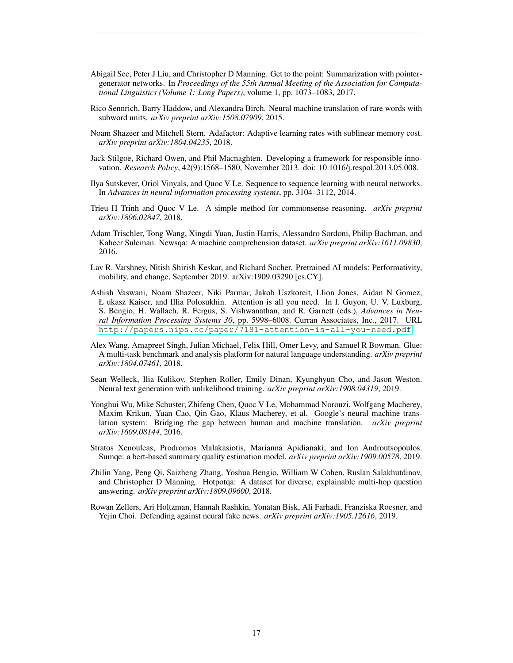- <span id="page-16-7"></span>Abigail See, Peter J Liu, and Christopher D Manning. Get to the point: Summarization with pointergenerator networks. In *Proceedings of the 55th Annual Meeting of the Association for Computational Linguistics (Volume 1: Long Papers)*, volume 1, pp. 1073–1083, 2017.
- <span id="page-16-4"></span>Rico Sennrich, Barry Haddow, and Alexandra Birch. Neural machine translation of rare words with subword units. *arXiv preprint arXiv:1508.07909*, 2015.
- <span id="page-16-6"></span>Noam Shazeer and Mitchell Stern. Adafactor: Adaptive learning rates with sublinear memory cost. *arXiv preprint arXiv:1804.04235*, 2018.
- <span id="page-16-14"></span>Jack Stilgoe, Richard Owen, and Phil Macnaghten. Developing a framework for responsible innovation. *Research Policy*, 42(9):1568–1580, November 2013. doi: 10.1016/j.respol.2013.05.008.
- <span id="page-16-0"></span>Ilya Sutskever, Oriol Vinyals, and Quoc V Le. Sequence to sequence learning with neural networks. In *Advances in neural information processing systems*, pp. 3104–3112, 2014.
- <span id="page-16-11"></span>Trieu H Trinh and Quoc V Le. A simple method for commonsense reasoning. *arXiv preprint arXiv:1806.02847*, 2018.
- <span id="page-16-2"></span>Adam Trischler, Tong Wang, Xingdi Yuan, Justin Harris, Alessandro Sordoni, Philip Bachman, and Kaheer Suleman. Newsqa: A machine comprehension dataset. *arXiv preprint arXiv:1611.09830*, 2016.
- <span id="page-16-13"></span>Lav R. Varshney, Nitish Shirish Keskar, and Richard Socher. Pretrained AI models: Performativity, mobility, and change, September 2019. arXiv:1909.03290 [cs.CY].
- <span id="page-16-1"></span>Ashish Vaswani, Noam Shazeer, Niki Parmar, Jakob Uszkoreit, Llion Jones, Aidan N Gomez, Ł ukasz Kaiser, and Illia Polosukhin. Attention is all you need. In I. Guyon, U. V. Luxburg, S. Bengio, H. Wallach, R. Fergus, S. Vishwanathan, and R. Garnett (eds.), *Advances in Neural Information Processing Systems 30*, pp. 5998–6008. Curran Associates, Inc., 2017. URL <http://papers.nips.cc/paper/7181-attention-is-all-you-need.pdf>.
- <span id="page-16-10"></span>Alex Wang, Amapreet Singh, Julian Michael, Felix Hill, Omer Levy, and Samuel R Bowman. Glue: A multi-task benchmark and analysis platform for natural language understanding. *arXiv preprint arXiv:1804.07461*, 2018.
- <span id="page-16-8"></span>Sean Welleck, Ilia Kulikov, Stephen Roller, Emily Dinan, Kyunghyun Cho, and Jason Weston. Neural text generation with unlikelihood training. *arXiv preprint arXiv:1908.04319*, 2019.
- <span id="page-16-5"></span>Yonghui Wu, Mike Schuster, Zhifeng Chen, Quoc V Le, Mohammad Norouzi, Wolfgang Macherey, Maxim Krikun, Yuan Cao, Qin Gao, Klaus Macherey, et al. Google's neural machine translation system: Bridging the gap between human and machine translation. *arXiv preprint arXiv:1609.08144*, 2016.
- <span id="page-16-12"></span>Stratos Xenouleas, Prodromos Malakasiotis, Marianna Apidianaki, and Ion Androutsopoulos. Sumqe: a bert-based summary quality estimation model. *arXiv preprint arXiv:1909.00578*, 2019.
- <span id="page-16-3"></span>Zhilin Yang, Peng Qi, Saizheng Zhang, Yoshua Bengio, William W Cohen, Ruslan Salakhutdinov, and Christopher D Manning. Hotpotqa: A dataset for diverse, explainable multi-hop question answering. *arXiv preprint arXiv:1809.09600*, 2018.
- <span id="page-16-9"></span>Rowan Zellers, Ari Holtzman, Hannah Rashkin, Yonatan Bisk, Ali Farhadi, Franziska Roesner, and Yejin Choi. Defending against neural fake news. *arXiv preprint arXiv:1905.12616*, 2019.